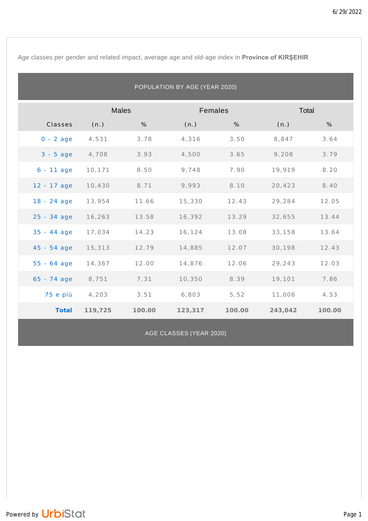Age classes per gender and related impact, average age and old-age index in **Province of KIRŞEHIR**

| POPULATION BY AGE (YEAR 2020) |              |        |         |        |         |        |  |  |
|-------------------------------|--------------|--------|---------|--------|---------|--------|--|--|
|                               | <b>Males</b> |        | Females |        | Total   |        |  |  |
| Classes                       | (n.)         | %      | (n.)    | %      | (n.)    | %      |  |  |
| $0 - 2$ age                   | 4,531        | 3.78   | 4,316   | 3.50   | 8,847   | 3.64   |  |  |
| $3 - 5$ age                   | 4,708        | 3.93   | 4,500   | 3.65   | 9,208   | 3.79   |  |  |
| $6 - 11$ age                  | 10,171       | 8.50   | 9,748   | 7.90   | 19,919  | 8.20   |  |  |
| 12 - 17 age                   | 10,430       | 8.71   | 9,993   | 8.10   | 20,423  | 8.40   |  |  |
| $18 - 24$ age                 | 13,954       | 11.66  | 15,330  | 12.43  | 29,284  | 12.05  |  |  |
| $25 - 34$ age                 | 16,263       | 13.58  | 16,392  | 13.29  | 32,655  | 13.44  |  |  |
| $35 - 44$ age                 | 17,034       | 14.23  | 16,124  | 13.08  | 33,158  | 13.64  |  |  |
| $45 - 54$ age                 | 15,313       | 12.79  | 14,885  | 12.07  | 30,198  | 12.43  |  |  |
| $55 - 64$ age                 | 14,367       | 12.00  | 14,876  | 12.06  | 29,243  | 12.03  |  |  |
| $65 - 74$ age                 | 8,751        | 7.31   | 10,350  | 8.39   | 19,101  | 7.86   |  |  |
| 75 e più                      | 4,203        | 3.51   | 6,803   | 5.52   | 11,006  | 4.53   |  |  |
| Total                         | 119,725      | 100.00 | 123,317 | 100.00 | 243,042 | 100.00 |  |  |

AGE CLASSES (YEAR 2020)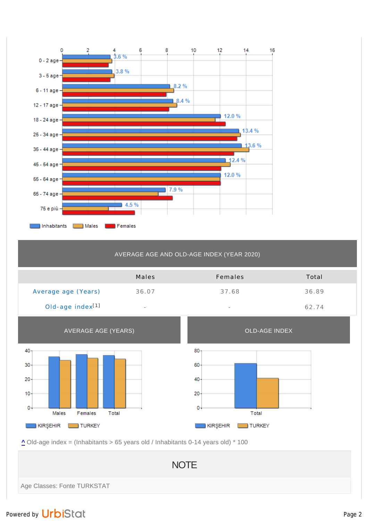

## AVERAGE AGE AND OLD-AGE INDEX (YEAR 2020)

|                              | Males                    | Females                  | Total |
|------------------------------|--------------------------|--------------------------|-------|
| Average age (Years)          | 36.07                    | 37.68                    | 36.89 |
| Old-age index <sup>[1]</sup> | $\overline{\phantom{a}}$ | $\overline{\phantom{a}}$ | 62.74 |



**^** Old-age index = (Inhabitants > 65 years old / Inhabitants 0-14 years old) \* 100

**NOTE** Age Classes: Fonte TURKSTAT

## Powered by UrbiStat and Page 2